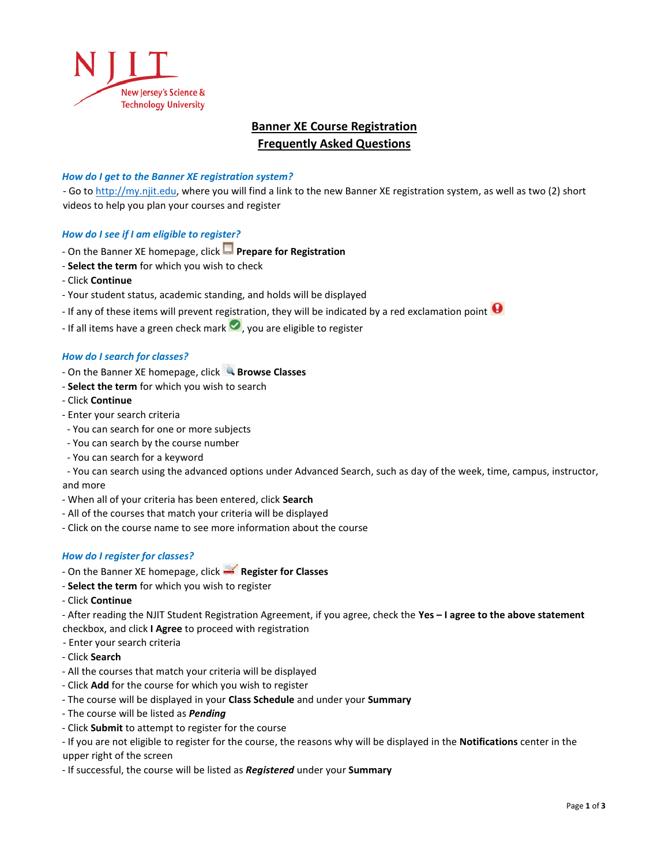

# **Banner XE Course Registration Frequently Asked Questions**

### *How do I get to the Banner XE registration system?*

- Go to [http://my.njit.edu,](http://my.njit.edu/) where you will find a link to the new Banner XE registration system, as well as two (2) short videos to help you plan your courses and register

# *How do I see if I am eligible to register?*

- ‐ On the Banner XE homepage, click **Prepare for Registration**
- ‐ **Select the term** for which you wish to check
- ‐ Click **Continue**
- ‐ Your student status, academic standing, and holds will be displayed
- If any of these items will prevent registration, they will be indicated by a red exclamation point  $\bullet$
- If all items have a green check mark  $\bullet$ , you are eligible to register

#### *How do I search for classes?*

- ‐ On the Banner XE homepage, click **Browse Classes**
- ‐ **Select the term** for which you wish to search
- ‐ Click **Continue**
- ‐ Enter your search criteria
- ‐ You can search for one or more subjects
- ‐ You can search by the course number
- ‐ You can search for a keyword

 ‐ You can search using the advanced options under Advanced Search, such as day of the week, time, campus, instructor, and more

- ‐ When all of your criteria has been entered, click **Search**
- ‐ All of the courses that match your criteria will be displayed
- ‐ Click on the course name to see more information about the course

#### *How do I register for classes?*

- ‐ On the Banner XE homepage, click **Register for Classes**
- ‐ **Select the term** for which you wish to register
- ‐ Click **Continue**

‐ After reading the NJIT Student Registration Agreement, if you agree, check the **Yes – I agree to the above statement**

- checkbox, and click **I Agree** to proceed with registration
- Enter your search criteria
- ‐ Click **Search**
- ‐ All the courses that match your criteria will be displayed
- ‐ Click **Add** for the course for which you wish to register
- ‐ The course will be displayed in your **Class Schedule** and under your **Summary**
- ‐ The course will be listed as *Pending*
- ‐ Click **Submit** to attempt to register for the course

‐ If you are not eligible to register for the course, the reasons why will be displayed in the **Notifications** center in the upper right of the screen

‐ If successful, the course will be listed as *Registered* under your **Summary**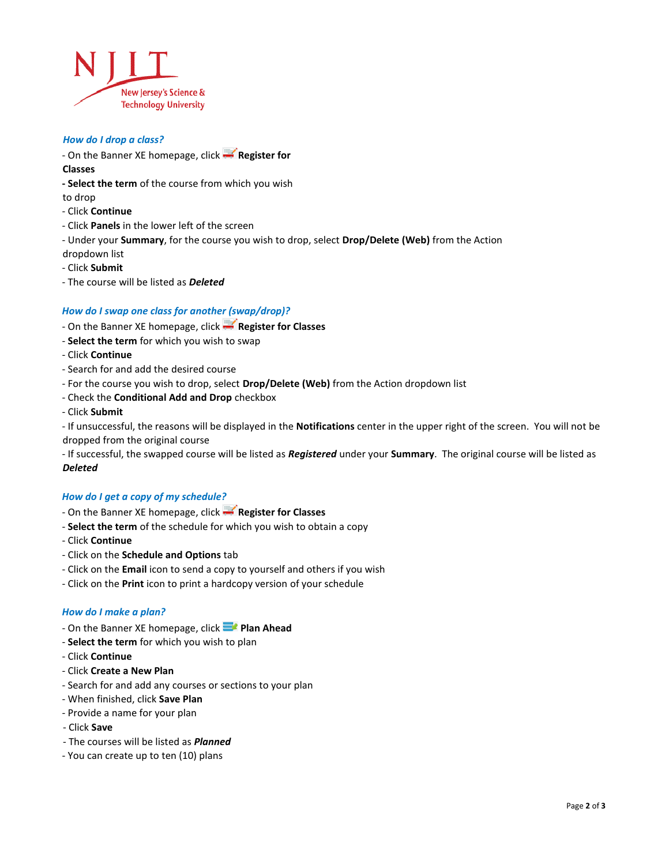

#### *How do I drop a class?*

‐ On the Banner XE homepage, click **Register for** 

### **Classes**

**- Select the term** of the course from which you wish

to drop

- ‐ Click **Continue**
- ‐ Click **Panels** in the lower left of the screen
- ‐ Under your **Summary**, for the course you wish to drop, select **Drop/Delete (Web)** from the Action
- dropdown list
- ‐ Click **Submit**
- ‐ The course will be listed as *Deleted*

# *How do I swap one class for another (swap/drop)?*

- ‐ On the Banner XE homepage, click **Register for Classes**
- ‐ **Select the term** for which you wish to swap
- ‐ Click **Continue**
- ‐ Search for and add the desired course
- ‐ For the course you wish to drop, select **Drop/Delete (Web)** from the Action dropdown list
- ‐ Check the **Conditional Add and Drop** checkbox
- ‐ Click **Submit**

‐ If unsuccessful, the reasons will be displayed in the **Notifications** center in the upper right of the screen. You will not be dropped from the original course

‐ If successful, the swapped course will be listed as *Registered* under your **Summary**. The original course will be listed as *Deleted*

## *How do I get a copy of my schedule?*

- ‐ On the Banner XE homepage, click **Register for Classes**
- ‐ **Select the term** of the schedule for which you wish to obtain a copy
- ‐ Click **Continue**
- Click on the **Schedule and Options** tab
- ‐ Click on the **Email** icon to send a copy to yourself and others if you wish
- ‐ Click on the **Print** icon to print a hardcopy version of your schedule

## *How do I make a plan?*

- ‐ On the Banner XE homepage, click **Plan Ahead**
- ‐ **Select the term** for which you wish to plan
- ‐ Click **Continue**
- ‐ Click **Create a New Plan**
- ‐ Search for and add any courses or sections to your plan
- ‐ When finished, click **Save Plan**
- ‐ Provide a name for your plan
- Click **Save**
- The courses will be listed as *Planned*
- You can create up to ten (10) plans